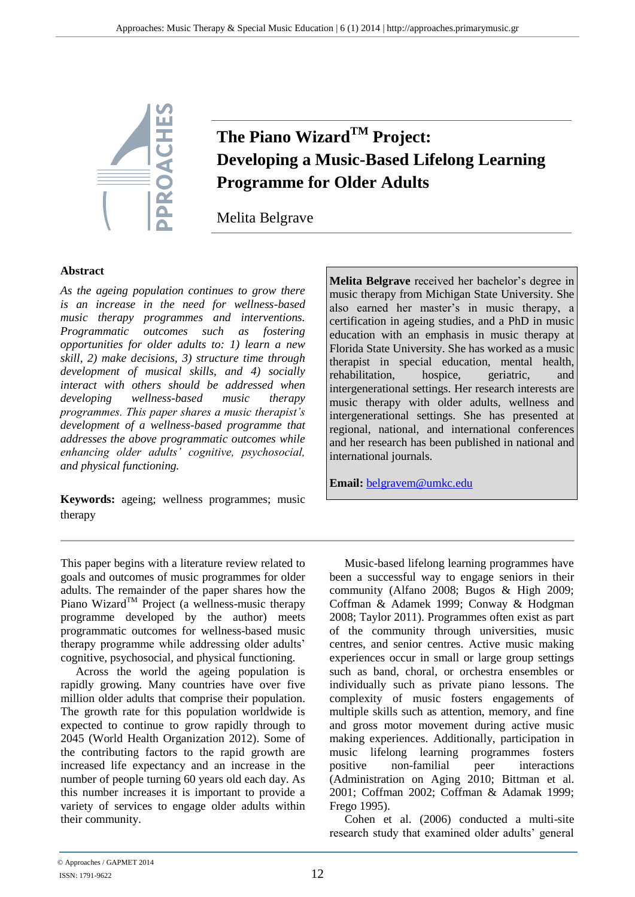

# **The Piano WizardTM Project: Developing a Music-Based Lifelong Learning Programme for Older Adults**

Melita Belgrave

### **Abstract**

*As the ageing population continues to grow there is an increase in the need for wellness-based music therapy programmes and interventions. Programmatic outcomes such as fostering opportunities for older adults to: 1) learn a new skill, 2) make decisions, 3) structure time through development of musical skills, and 4) socially interact with others should be addressed when developing wellness-based music therapy programmes. This paper shares a music therapist's development of a wellness-based programme that addresses the above programmatic outcomes while enhancing older adults' cognitive, psychosocial, and physical functioning.*

**Keywords:** ageing; wellness programmes; music therapy

This paper begins with a literature review related to goals and outcomes of music programmes for older adults. The remainder of the paper shares how the Piano Wizard<sup>TM</sup> Project (a wellness-music therapy programme developed by the author) meets programmatic outcomes for wellness-based music therapy programme while addressing older adults' cognitive, psychosocial, and physical functioning.

Across the world the ageing population is rapidly growing. Many countries have over five million older adults that comprise their population. The growth rate for this population worldwide is expected to continue to grow rapidly through to 2045 (World Health Organization 2012). Some of the contributing factors to the rapid growth are increased life expectancy and an increase in the number of people turning 60 years old each day. As this number increases it is important to provide a variety of services to engage older adults within their community.

**Melita Belgrave** received her bachelor's degree in music therapy from Michigan State University. She also earned her master's in music therapy, a certification in ageing studies, and a PhD in music education with an emphasis in music therapy at Florida State University. She has worked as a music therapist in special education, mental health, rehabilitation, hospice, geriatric, and intergenerational settings. Her research interests are music therapy with older adults, wellness and intergenerational settings. She has presented at regional, national, and international conferences and her research has been published in national and international journals.

**Email:** [belgravem@umkc.edu](mailto:belgravem@umkc.edu)

Music-based lifelong learning programmes have been a successful way to engage seniors in their community (Alfano 2008; Bugos & High 2009; Coffman & Adamek 1999; Conway & Hodgman 2008; Taylor 2011). Programmes often exist as part of the community through universities, music centres, and senior centres. Active music making experiences occur in small or large group settings such as band, choral, or orchestra ensembles or individually such as private piano lessons. The complexity of music fosters engagements of multiple skills such as attention, memory, and fine and gross motor movement during active music making experiences. Additionally, participation in music lifelong learning programmes fosters positive non-familial peer interactions (Administration on Aging 2010; Bittman et al. 2001; Coffman 2002; Coffman & Adamak 1999; Frego 1995).

Cohen et al. (2006) conducted a multi-site research study that examined older adults' general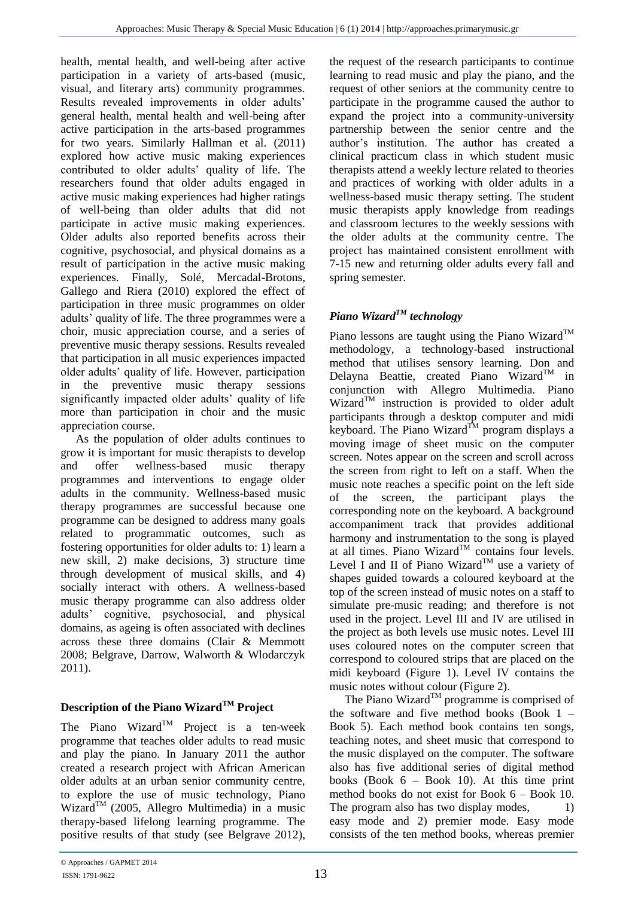health, mental health, and well-being after active participation in a variety of arts-based (music, visual, and literary arts) community programmes. Results revealed improvements in older adults' general health, mental health and well-being after active participation in the arts-based programmes for two years. Similarly Hallman et al. (2011) explored how active music making experiences contributed to older adults' quality of life. The researchers found that older adults engaged in active music making experiences had higher ratings of well-being than older adults that did not participate in active music making experiences. Older adults also reported benefits across their cognitive, psychosocial, and physical domains as a result of participation in the active music making experiences. Finally, Solé, Mercadal-Brotons, Gallego and Riera (2010) explored the effect of participation in three music programmes on older adults' quality of life. The three programmes were a choir, music appreciation course, and a series of preventive music therapy sessions. Results revealed that participation in all music experiences impacted older adults' quality of life. However, participation in the preventive music therapy sessions significantly impacted older adults' quality of life more than participation in choir and the music appreciation course.

As the population of older adults continues to grow it is important for music therapists to develop and offer wellness-based music therapy programmes and interventions to engage older adults in the community. Wellness-based music therapy programmes are successful because one programme can be designed to address many goals related to programmatic outcomes, such as fostering opportunities for older adults to: 1) learn a new skill, 2) make decisions, 3) structure time through development of musical skills, and 4) socially interact with others. A wellness-based music therapy programme can also address older adults' cognitive, psychosocial, and physical domains, as ageing is often associated with declines across these three domains (Clair & Memmott 2008; Belgrave, Darrow, Walworth & Wlodarczyk 2011).

# **Description of the Piano WizardTM Project**

The Piano Wizard<sup>TM</sup> Project is a ten-week programme that teaches older adults to read music and play the piano. In January 2011 the author created a research project with African American older adults at an urban senior community centre, to explore the use of music technology, Piano Wizard<sup>TM</sup> (2005, Allegro Multimedia) in a music therapy-based lifelong learning programme. The positive results of that study (see Belgrave 2012),

the request of the research participants to continue learning to read music and play the piano, and the request of other seniors at the community centre to participate in the programme caused the author to expand the project into a community-university partnership between the senior centre and the author's institution. The author has created a clinical practicum class in which student music therapists attend a weekly lecture related to theories and practices of working with older adults in a wellness-based music therapy setting. The student music therapists apply knowledge from readings and classroom lectures to the weekly sessions with the older adults at the community centre. The project has maintained consistent enrollment with 7-15 new and returning older adults every fall and spring semester.

# *Piano WizardTM technology*

Piano lessons are taught using the Piano Wizard<sup>TM</sup> methodology, a technology-based instructional method that utilises sensory learning. Don and Delayna Beattie, created Piano Wizard<sup>TM</sup> in conjunction with Allegro Multimedia. Piano  $Wizard^{TM}$  instruction is provided to older adult participants through a desktop computer and midi keyboard. The Piano Wizard<sup>TM</sup> program displays a moving image of sheet music on the computer screen. Notes appear on the screen and scroll across the screen from right to left on a staff. When the music note reaches a specific point on the left side of the screen, the participant plays the corresponding note on the keyboard. A background accompaniment track that provides additional harmony and instrumentation to the song is played at all times. Piano Wizard<sup>TM</sup> contains four levels. Level I and II of Piano Wizard<sup>TM</sup> use a variety of shapes guided towards a coloured keyboard at the top of the screen instead of music notes on a staff to simulate pre-music reading; and therefore is not used in the project. Level III and IV are utilised in the project as both levels use music notes. Level III uses coloured notes on the computer screen that correspond to coloured strips that are placed on the midi keyboard (Figure 1). Level IV contains the music notes without colour (Figure 2).

The Piano Wizard<sup>TM</sup> programme is comprised of the software and five method books (Book 1 – Book 5). Each method book contains ten songs, teaching notes, and sheet music that correspond to the music displayed on the computer. The software also has five additional series of digital method books (Book  $6 - Book$  10). At this time print method books do not exist for Book 6 – Book 10. The program also has two display modes,  $1)$ easy mode and 2) premier mode. Easy mode consists of the ten method books, whereas premier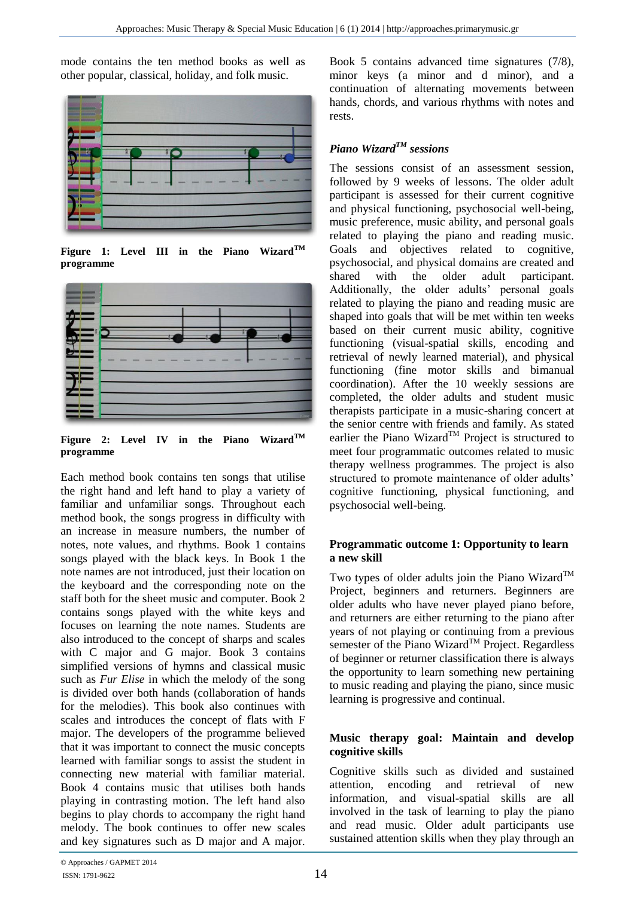mode contains the ten method books as well as other popular, classical, holiday, and folk music.



**Figure 1: Level III in the Piano WizardTM programme**



**Figure 2: Level IV in the Piano WizardTM programme**

Each method book contains ten songs that utilise the right hand and left hand to play a variety of familiar and unfamiliar songs. Throughout each method book, the songs progress in difficulty with an increase in measure numbers, the number of notes, note values, and rhythms. Book 1 contains songs played with the black keys. In Book 1 the note names are not introduced, just their location on the keyboard and the corresponding note on the staff both for the sheet music and computer. Book 2 contains songs played with the white keys and focuses on learning the note names. Students are also introduced to the concept of sharps and scales with C major and G major. Book 3 contains simplified versions of hymns and classical music such as *Fur Elise* in which the melody of the song is divided over both hands (collaboration of hands for the melodies). This book also continues with scales and introduces the concept of flats with F major. The developers of the programme believed that it was important to connect the music concepts learned with familiar songs to assist the student in connecting new material with familiar material. Book 4 contains music that utilises both hands playing in contrasting motion. The left hand also begins to play chords to accompany the right hand melody. The book continues to offer new scales and key signatures such as D major and A major.

Book 5 contains advanced time signatures (7/8), minor keys (a minor and d minor), and a continuation of alternating movements between hands, chords, and various rhythms with notes and rests.

# *Piano WizardTM sessions*

The sessions consist of an assessment session, followed by 9 weeks of lessons. The older adult participant is assessed for their current cognitive and physical functioning, psychosocial well-being, music preference, music ability, and personal goals related to playing the piano and reading music. Goals and objectives related to cognitive, psychosocial, and physical domains are created and shared with the older adult participant. Additionally, the older adults' personal goals related to playing the piano and reading music are shaped into goals that will be met within ten weeks based on their current music ability, cognitive functioning (visual-spatial skills, encoding and retrieval of newly learned material), and physical functioning (fine motor skills and bimanual coordination). After the 10 weekly sessions are completed, the older adults and student music therapists participate in a music-sharing concert at the senior centre with friends and family. As stated earlier the Piano Wizard<sup>TM</sup> Project is structured to meet four programmatic outcomes related to music therapy wellness programmes. The project is also structured to promote maintenance of older adults' cognitive functioning, physical functioning, and psychosocial well-being.

#### **Programmatic outcome 1: Opportunity to learn a new skill**

Two types of older adults join the Piano Wizard<sup>TM</sup> Project, beginners and returners. Beginners are older adults who have never played piano before, and returners are either returning to the piano after years of not playing or continuing from a previous semester of the Piano Wizard<sup>TM</sup> Project. Regardless of beginner or returner classification there is always the opportunity to learn something new pertaining to music reading and playing the piano, since music learning is progressive and continual.

#### **Music therapy goal: Maintain and develop cognitive skills**

Cognitive skills such as divided and sustained attention, encoding and retrieval of new information, and visual-spatial skills are all involved in the task of learning to play the piano and read music. Older adult participants use sustained attention skills when they play through an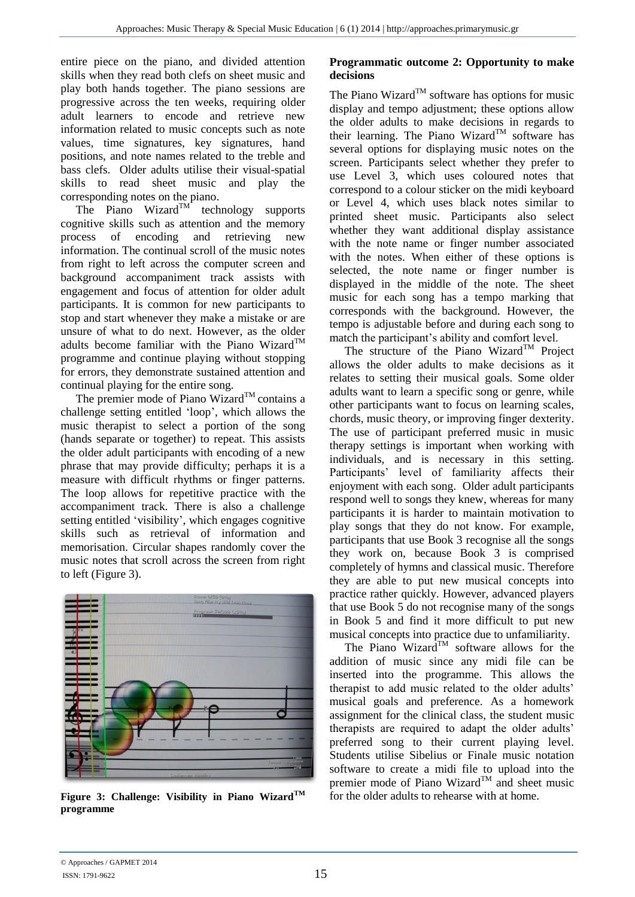entire piece on the piano, and divided attention skills when they read both clefs on sheet music and play both hands together. The piano sessions are progressive across the ten weeks, requiring older adult learners to encode and retrieve new information related to music concepts such as note values, time signatures, key signatures, hand positions, and note names related to the treble and bass clefs. Older adults utilise their visual-spatial skills to read sheet music and play the corresponding notes on the piano.

The Piano Wizard<sup>TM</sup> technology supports cognitive skills such as attention and the memory process of encoding and retrieving new information. The continual scroll of the music notes from right to left across the computer screen and background accompaniment track assists with engagement and focus of attention for older adult participants. It is common for new participants to stop and start whenever they make a mistake or are unsure of what to do next. However, as the older adults become familiar with the Piano Wizard<sup>TM</sup> programme and continue playing without stopping for errors, they demonstrate sustained attention and continual playing for the entire song.

The premier mode of Piano Wizard<sup>TM</sup> contains a challenge setting entitled 'loop', which allows the music therapist to select a portion of the song (hands separate or together) to repeat. This assists the older adult participants with encoding of a new phrase that may provide difficulty; perhaps it is a measure with difficult rhythms or finger patterns. The loop allows for repetitive practice with the accompaniment track. There is also a challenge setting entitled 'visibility', which engages cognitive skills such as retrieval of information and memorisation. Circular shapes randomly cover the music notes that scroll across the screen from right to left (Figure 3).



**Figure 3: Challenge: Visibility in Piano WizardTM programme**

#### **Programmatic outcome 2: Opportunity to make decisions**

The Piano Wizard<sup>TM</sup> software has options for music display and tempo adjustment; these options allow the older adults to make decisions in regards to their learning. The Piano Wizard<sup>TM</sup> software has several options for displaying music notes on the screen. Participants select whether they prefer to use Level 3, which uses coloured notes that correspond to a colour sticker on the midi keyboard or Level 4, which uses black notes similar to printed sheet music. Participants also select whether they want additional display assistance with the note name or finger number associated with the notes. When either of these options is selected, the note name or finger number is displayed in the middle of the note. The sheet music for each song has a tempo marking that corresponds with the background. However, the tempo is adjustable before and during each song to match the participant's ability and comfort level.

The structure of the Piano Wizard<sup>TM</sup> Project allows the older adults to make decisions as it relates to setting their musical goals. Some older adults want to learn a specific song or genre, while other participants want to focus on learning scales, chords, music theory, or improving finger dexterity. The use of participant preferred music in music therapy settings is important when working with individuals, and is necessary in this setting. Participants' level of familiarity affects their enjoyment with each song. Older adult participants respond well to songs they knew, whereas for many participants it is harder to maintain motivation to play songs that they do not know. For example, participants that use Book 3 recognise all the songs they work on, because Book 3 is comprised completely of hymns and classical music. Therefore they are able to put new musical concepts into practice rather quickly. However, advanced players that use Book 5 do not recognise many of the songs in Book 5 and find it more difficult to put new musical concepts into practice due to unfamiliarity.

The Piano Wizard<sup>TM</sup> software allows for the addition of music since any midi file can be inserted into the programme. This allows the therapist to add music related to the older adults' musical goals and preference. As a homework assignment for the clinical class, the student music therapists are required to adapt the older adults' preferred song to their current playing level. Students utilise Sibelius or Finale music notation software to create a midi file to upload into the premier mode of Piano Wizard<sup>TM</sup> and sheet music for the older adults to rehearse with at home.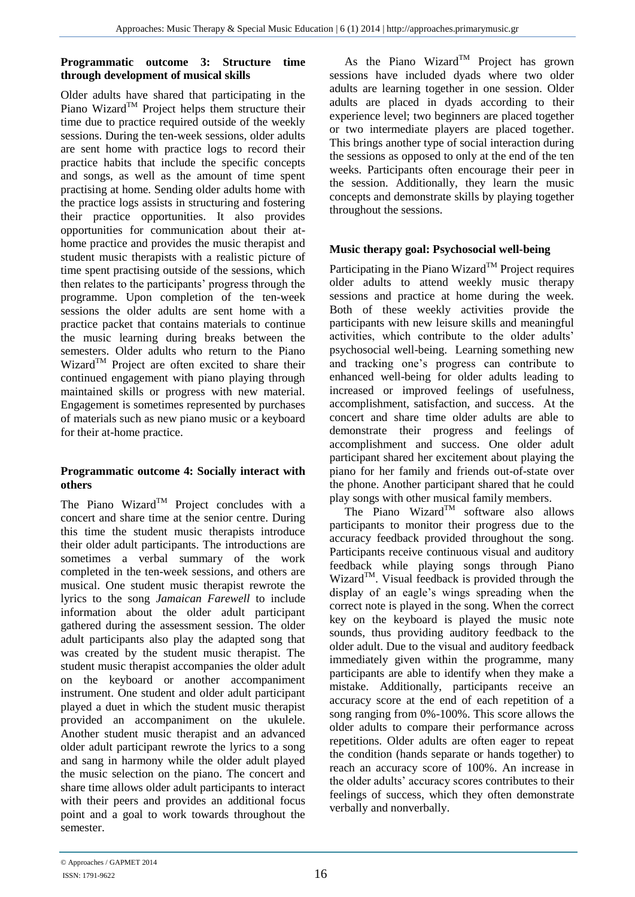#### **Programmatic outcome 3: Structure time through development of musical skills**

Older adults have shared that participating in the Piano Wizard<sup>TM</sup> Project helps them structure their time due to practice required outside of the weekly sessions. During the ten-week sessions, older adults are sent home with practice logs to record their practice habits that include the specific concepts and songs, as well as the amount of time spent practising at home. Sending older adults home with the practice logs assists in structuring and fostering their practice opportunities. It also provides opportunities for communication about their athome practice and provides the music therapist and student music therapists with a realistic picture of time spent practising outside of the sessions, which then relates to the participants' progress through the programme. Upon completion of the ten-week sessions the older adults are sent home with a practice packet that contains materials to continue the music learning during breaks between the semesters. Older adults who return to the Piano Wizard $^{TM}$  Project are often excited to share their continued engagement with piano playing through maintained skills or progress with new material. Engagement is sometimes represented by purchases of materials such as new piano music or a keyboard for their at-home practice.

#### **Programmatic outcome 4: Socially interact with others**

The Piano Wizard<sup>TM</sup> Project concludes with a concert and share time at the senior centre. During this time the student music therapists introduce their older adult participants. The introductions are sometimes a verbal summary of the work completed in the ten-week sessions, and others are musical. One student music therapist rewrote the lyrics to the song *Jamaican Farewell* to include information about the older adult participant gathered during the assessment session. The older adult participants also play the adapted song that was created by the student music therapist. The student music therapist accompanies the older adult on the keyboard or another accompaniment instrument. One student and older adult participant played a duet in which the student music therapist provided an accompaniment on the ukulele. Another student music therapist and an advanced older adult participant rewrote the lyrics to a song and sang in harmony while the older adult played the music selection on the piano. The concert and share time allows older adult participants to interact with their peers and provides an additional focus point and a goal to work towards throughout the semester.

As the Piano Wizard<sup>TM</sup> Project has grown sessions have included dyads where two older adults are learning together in one session. Older adults are placed in dyads according to their experience level; two beginners are placed together or two intermediate players are placed together. This brings another type of social interaction during the sessions as opposed to only at the end of the ten weeks. Participants often encourage their peer in the session. Additionally, they learn the music concepts and demonstrate skills by playing together throughout the sessions.

## **Music therapy goal: Psychosocial well-being**

Participating in the Piano Wizard<sup>TM</sup> Project requires older adults to attend weekly music therapy sessions and practice at home during the week. Both of these weekly activities provide the participants with new leisure skills and meaningful activities, which contribute to the older adults' psychosocial well-being. Learning something new and tracking one's progress can contribute to enhanced well-being for older adults leading to increased or improved feelings of usefulness, accomplishment, satisfaction, and success. At the concert and share time older adults are able to demonstrate their progress and feelings of accomplishment and success. One older adult participant shared her excitement about playing the piano for her family and friends out-of-state over the phone. Another participant shared that he could play songs with other musical family members.

The Piano Wizard<sup>TM</sup> software also allows participants to monitor their progress due to the accuracy feedback provided throughout the song. Participants receive continuous visual and auditory feedback while playing songs through Piano Wizard<sup>TM</sup>. Visual feedback is provided through the display of an eagle's wings spreading when the correct note is played in the song. When the correct key on the keyboard is played the music note sounds, thus providing auditory feedback to the older adult. Due to the visual and auditory feedback immediately given within the programme, many participants are able to identify when they make a mistake. Additionally, participants receive an accuracy score at the end of each repetition of a song ranging from 0%-100%. This score allows the older adults to compare their performance across repetitions. Older adults are often eager to repeat the condition (hands separate or hands together) to reach an accuracy score of 100%. An increase in the older adults' accuracy scores contributes to their feelings of success, which they often demonstrate verbally and nonverbally.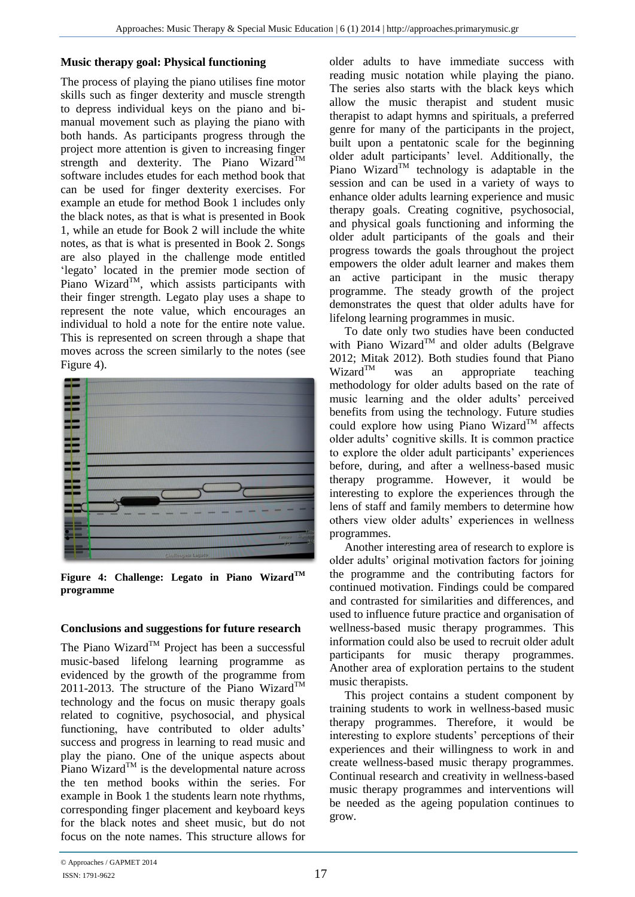## **Music therapy goal: Physical functioning**

The process of playing the piano utilises fine motor skills such as finger dexterity and muscle strength to depress individual keys on the piano and bimanual movement such as playing the piano with both hands. As participants progress through the project more attention is given to increasing finger strength and dexterity. The Piano Wizard<sup>TM</sup> software includes etudes for each method book that can be used for finger dexterity exercises. For example an etude for method Book 1 includes only the black notes, as that is what is presented in Book 1, while an etude for Book 2 will include the white notes, as that is what is presented in Book 2. Songs are also played in the challenge mode entitled 'legato' located in the premier mode section of Piano Wizard<sup>TM</sup>, which assists participants with their finger strength. Legato play uses a shape to represent the note value, which encourages an individual to hold a note for the entire note value. This is represented on screen through a shape that moves across the screen similarly to the notes (see Figure 4).



**Figure 4: Challenge: Legato in Piano WizardTM programme**

## **Conclusions and suggestions for future research**

The Piano Wizard<sup>TM</sup> Project has been a successful music-based lifelong learning programme as evidenced by the growth of the programme from 2011-2013. The structure of the Piano Wizard<sup>TM</sup> technology and the focus on music therapy goals related to cognitive, psychosocial, and physical functioning, have contributed to older adults' success and progress in learning to read music and play the piano. One of the unique aspects about Piano Wizard<sup>TM</sup> is the developmental nature across the ten method books within the series. For example in Book 1 the students learn note rhythms, corresponding finger placement and keyboard keys for the black notes and sheet music, but do not focus on the note names. This structure allows for older adults to have immediate success with reading music notation while playing the piano. The series also starts with the black keys which allow the music therapist and student music therapist to adapt hymns and spirituals, a preferred genre for many of the participants in the project, built upon a pentatonic scale for the beginning older adult participants' level. Additionally, the Piano Wizard<sup>TM</sup> technology is adaptable in the session and can be used in a variety of ways to enhance older adults learning experience and music therapy goals. Creating cognitive, psychosocial, and physical goals functioning and informing the older adult participants of the goals and their progress towards the goals throughout the project empowers the older adult learner and makes them an active participant in the music therapy programme. The steady growth of the project demonstrates the quest that older adults have for lifelong learning programmes in music.

To date only two studies have been conducted with Piano Wizard<sup>TM</sup> and older adults (Belgrave 2012; Mitak 2012). Both studies found that Piano<br>Wizard<sup>TM</sup> was an appropriate teaching was an appropriate teaching methodology for older adults based on the rate of music learning and the older adults' perceived benefits from using the technology. Future studies could explore how using Piano Wizard<sup>TM</sup> affects older adults' cognitive skills. It is common practice to explore the older adult participants' experiences before, during, and after a wellness-based music therapy programme. However, it would be interesting to explore the experiences through the lens of staff and family members to determine how others view older adults' experiences in wellness programmes.

Another interesting area of research to explore is older adults' original motivation factors for joining the programme and the contributing factors for continued motivation. Findings could be compared and contrasted for similarities and differences, and used to influence future practice and organisation of wellness-based music therapy programmes. This information could also be used to recruit older adult participants for music therapy programmes. Another area of exploration pertains to the student music therapists.

This project contains a student component by training students to work in wellness-based music therapy programmes. Therefore, it would be interesting to explore students' perceptions of their experiences and their willingness to work in and create wellness-based music therapy programmes. Continual research and creativity in wellness-based music therapy programmes and interventions will be needed as the ageing population continues to grow.